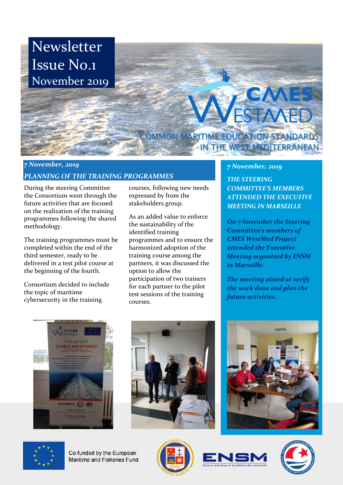

## *7 November, 2019 PLANNING OF THE TRAINING PROGRAMMES*

During the steering Committee the Consortium went through the future activities that are focused on the realization of the training programmes following the shared methodology.

The training programmes must be completed within the end of the third semester, ready to be delivered in a test pilot course at the beginning of the fourth.

Consortium decided to include the topic of maritime cybersecurity in the training

courses, following new needs expressed by from the stakeholders group.

As an added value to enforce the sustainability of the identified training programmes and to ensure the harmonized adoption of the training course among the partners, it was discussed the option to allow the participation of two trainers for each partner to the pilot test sessions of the training courses.

## *7 November, 2019*

*THE STEERING COMMITTEE'S MEMBERS ATTENDED THE EXECUTIVE MEETING IN MARSEILLE*

*On 7 November the Steering Committee's members of CMES WestMed Project attended the Executive Meeting organized by ENSM in Marseille.*

*The meeting aimed at verify the work done and plan the future activities.*









Co-funded by the European Maritime and Fisheries Fund